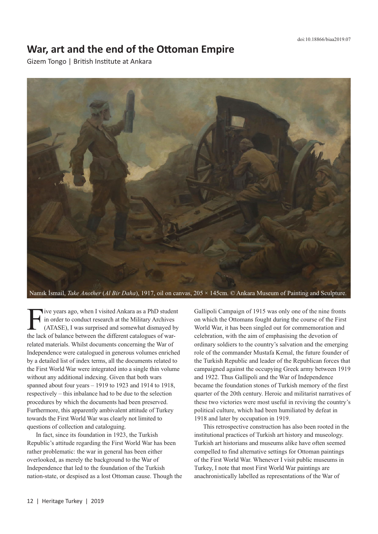## **War, art and the end of the Ottoman Empire**

Gizem Tongo | British Institute at Ankara



Namık İsmail, *Take Another* (*Al Bir Daha*), 1917, oil on canvas, 205 × 145cm. © Ankara Museum of Painting and Sculpture.

Five years ago, when I visited Ankara as a PhD student<br>in order to conduct research at the Military Archives<br>(ATASE), I was surprised and somewhat dismayed by<br>the lack of balance between the different catalogues of warin order to conduct research at the Military Archives (ATASE), I was surprised and somewhat dismayed by the lack of balance between the different catalogues of warrelated materials. Whilst documents concerning the War of Independence were catalogued in generous volumes enriched by a detailed list of index terms, all the documents related to the First World War were integrated into a single thin volume without any additional indexing. Given that both wars spanned about four years – 1919 to 1923 and 1914 to 1918, respectively – this inbalance had to be due to the selection procedures by which the documents had been preserved. Furthermore, this apparently ambivalent attitude of Turkey towards the First World War was clearly not limited to questions of collection and cataloguing.

In fact, since its foundation in 1923, the Turkish Republic's attitude regarding the First World War has been rather problematic: the war in general has been either overlooked, as merely the background to the War of Independence that led to the foundation of the Turkish nation-state, or despised as a lost Ottoman cause. Though the Gallipoli Campaign of 1915 was only one of the nine fronts on which the Ottomans fought during the course of the First World War, it has been singled out for commemoration and celebration, with the aim of emphasising the devotion of ordinary soldiers to the country's salvation and the emerging role of the commander Mustafa Kemal, the future founder of the Turkish Republic and leader of the Republican forces that campaigned against the occupying Greek army between 1919 and 1922. Thus Gallipoli and the War of Independence became the foundation stones of Turkish memory of the first quarter of the 20th century. Heroic and militarist narratives of these two victories were most useful in reviving the country's political culture, which had been humiliated by defeat in 1918 and later by occupation in 1919.

This retrospective construction has also been rooted in the institutional practices of Turkish art history and museology. Turkish art historians and museums alike have often seemed compelled to find alternative settings for Ottoman paintings of the First World War. Whenever I visit public museums in Turkey, I note that most First World War paintings are anachronistically labelled as representations of the War of